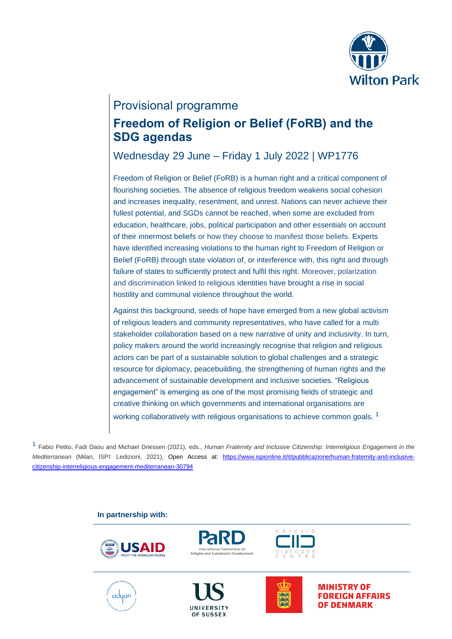

# Provisional programme

## **Freedom of Religion or Belief (FoRB) and the SDG agendas**

Wednesday 29 June – Friday 1 July 2022 | WP1776

Freedom of Religion or Belief (FoRB) is a human right and a critical component of flourishing societies. The absence of religious freedom weakens social cohesion and increases inequality, resentment, and unrest. Nations can never achieve their fullest potential, and SGDs cannot be reached, when some are excluded from education, healthcare, jobs, political participation and other essentials on account of their innermost beliefs or how they choose to manifest those beliefs. Experts have identified increasing violations to the human right to Freedom of Religion or Belief (FoRB) through state violation of, or interference with, this right and through failure of states to sufficiently protect and fulfil this right. Moreover, polarization and discrimination linked to religious identities have brought a rise in social hostility and communal violence throughout the world.

Against this background, seeds of hope have emerged from a new global activism of religious leaders and community representatives, who have called for a multi stakeholder collaboration based on a new narrative of unity and inclusivity. In turn, policy makers around the world increasingly recognise that religion and religious actors can be part of a sustainable solution to global challenges and a strategic resource for diplomacy, peacebuilding, the strengthening of human rights and the advancement of sustainable development and inclusive societies. "Religious engagement" is emerging as one of the most promising fields of strategic and creative thinking on which governments and international organisations are working collaboratively with religious organisations to achieve common goals.  $^1$ 

1 Fabio Petito, Fadi Daou and Michael Driessen (2021), eds., *Human Fraternity and Inclusive Citizenship: Interreligious Engagement in the Mediterranean* (Milan, ISPI: Ledizioni, 2021), Open Access at: [https://www.ispionline.it/it/pubblicazione/human-fraternity-and-inclusive](https://www.ispionline.it/it/pubblicazione/human-fraternity-and-inclusive-citizenship-interreligious-engagement-mediterranean-30794)[citizenship-interreligious-engagement-mediterranean-30794](https://www.ispionline.it/it/pubblicazione/human-fraternity-and-inclusive-citizenship-interreligious-engagement-mediterranean-30794)

### **In partnership with:**







UNIVERSITY OF SUSSEX





**MINISTRY OF FOREIGN AFFAIRS OF DENMARK**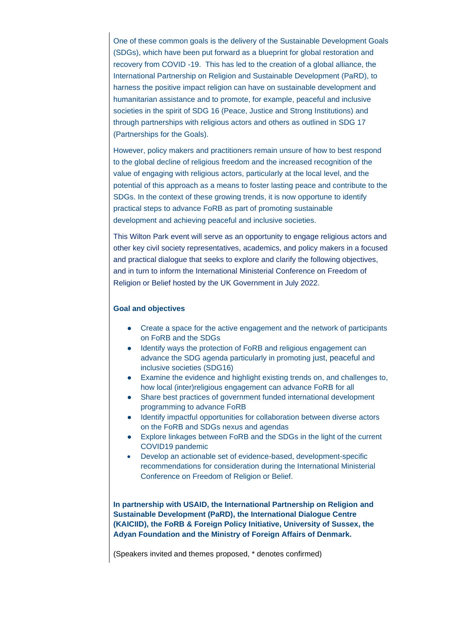One of these common goals is the delivery of the Sustainable Development Goals (SDGs), which have been put forward as a blueprint for global restoration and recovery from COVID -19. This has led to the creation of a global alliance, the International Partnership on Religion and Sustainable Development (PaRD), to harness the positive impact religion can have on sustainable development and humanitarian assistance and to promote, for example, peaceful and inclusive societies in the spirit of SDG 16 (Peace, Justice and Strong Institutions) and through partnerships with religious actors and others as outlined in SDG 17 (Partnerships for the Goals).

However, policy makers and practitioners remain unsure of how to best respond to the global decline of religious freedom and the increased recognition of the value of engaging with religious actors, particularly at the local level, and the potential of this approach as a means to foster lasting peace and contribute to the SDGs. In the context of these growing trends, it is now opportune to identify practical steps to advance FoRB as part of promoting sustainable development and achieving peaceful and inclusive societies.

This Wilton Park event will serve as an opportunity to engage religious actors and other key civil society representatives, academics, and policy makers in a focused and practical dialogue that seeks to explore and clarify the following objectives, and in turn to inform the International Ministerial Conference on Freedom of Religion or Belief hosted by the UK Government in July 2022.

#### **Goal and objectives**

- Create a space for the active engagement and the network of participants on FoRB and the SDGs
- Identify ways the protection of FoRB and religious engagement can advance the SDG agenda particularly in promoting just, peaceful and inclusive societies (SDG16)
- Examine the evidence and highlight existing trends on, and challenges to, how local (inter)religious engagement can advance FoRB for all
- Share best practices of government funded international development programming to advance FoRB
- Identify impactful opportunities for collaboration between diverse actors on the FoRB and SDGs nexus and agendas
- Explore linkages between FoRB and the SDGs in the light of the current COVID19 pandemic
- Develop an actionable set of evidence-based, development-specific recommendations for consideration during the International Ministerial Conference on Freedom of Religion or Belief.

**In partnership with USAID, the International Partnership on Religion and Sustainable Development (PaRD), the International Dialogue Centre (KAICIID), the FoRB & Foreign Policy Initiative, University of Sussex, the Adyan Foundation and the Ministry of Foreign Affairs of Denmark.**

(Speakers invited and themes proposed, \* denotes confirmed)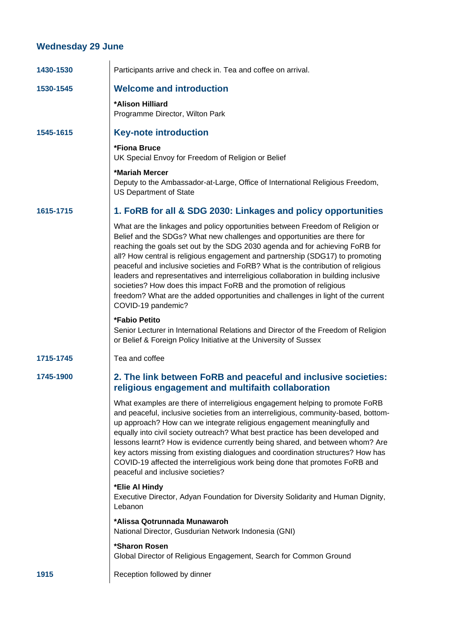## **Wednesday 29 June**

| 1430-1530 | Participants arrive and check in. Tea and coffee on arrival.                                                                                                                                                                                                                                                                                                                                                                                                                                                                                                                                                                                                                          |
|-----------|---------------------------------------------------------------------------------------------------------------------------------------------------------------------------------------------------------------------------------------------------------------------------------------------------------------------------------------------------------------------------------------------------------------------------------------------------------------------------------------------------------------------------------------------------------------------------------------------------------------------------------------------------------------------------------------|
| 1530-1545 | <b>Welcome and introduction</b>                                                                                                                                                                                                                                                                                                                                                                                                                                                                                                                                                                                                                                                       |
|           | *Alison Hilliard<br>Programme Director, Wilton Park                                                                                                                                                                                                                                                                                                                                                                                                                                                                                                                                                                                                                                   |
| 1545-1615 | <b>Key-note introduction</b>                                                                                                                                                                                                                                                                                                                                                                                                                                                                                                                                                                                                                                                          |
|           | *Fiona Bruce<br>UK Special Envoy for Freedom of Religion or Belief                                                                                                                                                                                                                                                                                                                                                                                                                                                                                                                                                                                                                    |
|           | *Mariah Mercer<br>Deputy to the Ambassador-at-Large, Office of International Religious Freedom,<br><b>US Department of State</b>                                                                                                                                                                                                                                                                                                                                                                                                                                                                                                                                                      |
| 1615-1715 | 1. FoRB for all & SDG 2030: Linkages and policy opportunities                                                                                                                                                                                                                                                                                                                                                                                                                                                                                                                                                                                                                         |
|           | What are the linkages and policy opportunities between Freedom of Religion or<br>Belief and the SDGs? What new challenges and opportunities are there for<br>reaching the goals set out by the SDG 2030 agenda and for achieving FoRB for<br>all? How central is religious engagement and partnership (SDG17) to promoting<br>peaceful and inclusive societies and FoRB? What is the contribution of religious<br>leaders and representatives and interreligious collaboration in building inclusive<br>societies? How does this impact FoRB and the promotion of religious<br>freedom? What are the added opportunities and challenges in light of the current<br>COVID-19 pandemic? |
|           | *Fabio Petito<br>Senior Lecturer in International Relations and Director of the Freedom of Religion<br>or Belief & Foreign Policy Initiative at the University of Sussex                                                                                                                                                                                                                                                                                                                                                                                                                                                                                                              |
| 1715-1745 | Tea and coffee                                                                                                                                                                                                                                                                                                                                                                                                                                                                                                                                                                                                                                                                        |
| 1745-1900 | 2. The link between FoRB and peaceful and inclusive societies:<br>religious engagement and multifaith collaboration                                                                                                                                                                                                                                                                                                                                                                                                                                                                                                                                                                   |
|           | What examples are there of interreligious engagement helping to promote FoRB<br>and peaceful, inclusive societies from an interreligious, community-based, bottom-<br>up approach? How can we integrate religious engagement meaningfully and<br>equally into civil society outreach? What best practice has been developed and<br>lessons learnt? How is evidence currently being shared, and between whom? Are<br>key actors missing from existing dialogues and coordination structures? How has<br>COVID-19 affected the interreligious work being done that promotes FoRB and<br>peaceful and inclusive societies?                                                               |
|           | *Elie Al Hindy<br>Executive Director, Adyan Foundation for Diversity Solidarity and Human Dignity,<br>Lebanon                                                                                                                                                                                                                                                                                                                                                                                                                                                                                                                                                                         |
|           | *Alissa Qotrunnada Munawaroh<br>National Director, Gusdurian Network Indonesia (GNI)                                                                                                                                                                                                                                                                                                                                                                                                                                                                                                                                                                                                  |
|           | *Sharon Rosen<br>Global Director of Religious Engagement, Search for Common Ground                                                                                                                                                                                                                                                                                                                                                                                                                                                                                                                                                                                                    |
| 1915      | Reception followed by dinner                                                                                                                                                                                                                                                                                                                                                                                                                                                                                                                                                                                                                                                          |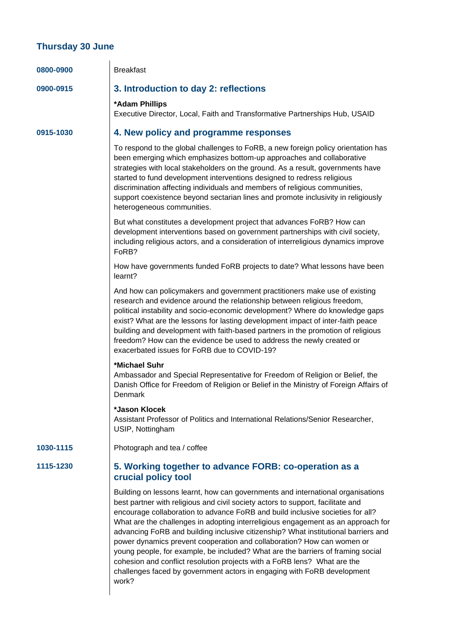### **Thursday 30 June**

| 0800-0900 | <b>Breakfast</b>                                                                                                                                                                                                                                                                                                                                                                                                                                                                                                                                                                                                                                                                                                                                            |
|-----------|-------------------------------------------------------------------------------------------------------------------------------------------------------------------------------------------------------------------------------------------------------------------------------------------------------------------------------------------------------------------------------------------------------------------------------------------------------------------------------------------------------------------------------------------------------------------------------------------------------------------------------------------------------------------------------------------------------------------------------------------------------------|
| 0900-0915 | 3. Introduction to day 2: reflections                                                                                                                                                                                                                                                                                                                                                                                                                                                                                                                                                                                                                                                                                                                       |
|           | *Adam Phillips<br>Executive Director, Local, Faith and Transformative Partnerships Hub, USAID                                                                                                                                                                                                                                                                                                                                                                                                                                                                                                                                                                                                                                                               |
| 0915-1030 | 4. New policy and programme responses                                                                                                                                                                                                                                                                                                                                                                                                                                                                                                                                                                                                                                                                                                                       |
|           | To respond to the global challenges to FoRB, a new foreign policy orientation has<br>been emerging which emphasizes bottom-up approaches and collaborative<br>strategies with local stakeholders on the ground. As a result, governments have<br>started to fund development interventions designed to redress religious<br>discrimination affecting individuals and members of religious communities,<br>support coexistence beyond sectarian lines and promote inclusivity in religiously<br>heterogeneous communities.                                                                                                                                                                                                                                   |
|           | But what constitutes a development project that advances FoRB? How can<br>development interventions based on government partnerships with civil society,<br>including religious actors, and a consideration of interreligious dynamics improve<br>FoRB?                                                                                                                                                                                                                                                                                                                                                                                                                                                                                                     |
|           | How have governments funded FoRB projects to date? What lessons have been<br>learnt?                                                                                                                                                                                                                                                                                                                                                                                                                                                                                                                                                                                                                                                                        |
|           | And how can policymakers and government practitioners make use of existing<br>research and evidence around the relationship between religious freedom,<br>political instability and socio-economic development? Where do knowledge gaps<br>exist? What are the lessons for lasting development impact of inter-faith peace<br>building and development with faith-based partners in the promotion of religious<br>freedom? How can the evidence be used to address the newly created or<br>exacerbated issues for FoRB due to COVID-19?                                                                                                                                                                                                                     |
|           | *Michael Suhr<br>Ambassador and Special Representative for Freedom of Religion or Belief, the<br>Danish Office for Freedom of Religion or Belief in the Ministry of Foreign Affairs of<br>Denmark                                                                                                                                                                                                                                                                                                                                                                                                                                                                                                                                                           |
|           | *Jason Klocek<br>Assistant Professor of Politics and International Relations/Senior Researcher,<br>USIP, Nottingham                                                                                                                                                                                                                                                                                                                                                                                                                                                                                                                                                                                                                                         |
| 1030-1115 | Photograph and tea / coffee                                                                                                                                                                                                                                                                                                                                                                                                                                                                                                                                                                                                                                                                                                                                 |
| 1115-1230 | 5. Working together to advance FORB: co-operation as a<br>crucial policy tool                                                                                                                                                                                                                                                                                                                                                                                                                                                                                                                                                                                                                                                                               |
|           | Building on lessons learnt, how can governments and international organisations<br>best partner with religious and civil society actors to support, facilitate and<br>encourage collaboration to advance FoRB and build inclusive societies for all?<br>What are the challenges in adopting interreligious engagement as an approach for<br>advancing FoRB and building inclusive citizenship? What institutional barriers and<br>power dynamics prevent cooperation and collaboration? How can women or<br>young people, for example, be included? What are the barriers of framing social<br>cohesion and conflict resolution projects with a FoRB lens? What are the<br>challenges faced by government actors in engaging with FoRB development<br>work? |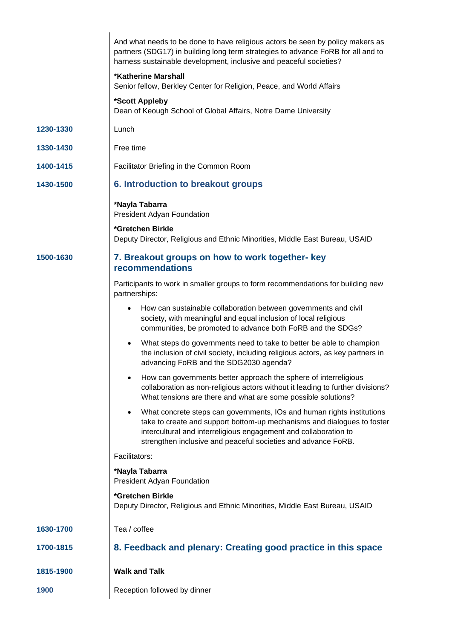|           | And what needs to be done to have religious actors be seen by policy makers as<br>partners (SDG17) in building long term strategies to advance FoRB for all and to<br>harness sustainable development, inclusive and peaceful societies?                                                            |
|-----------|-----------------------------------------------------------------------------------------------------------------------------------------------------------------------------------------------------------------------------------------------------------------------------------------------------|
|           | <b>*Katherine Marshall</b><br>Senior fellow, Berkley Center for Religion, Peace, and World Affairs                                                                                                                                                                                                  |
|           | *Scott Appleby<br>Dean of Keough School of Global Affairs, Notre Dame University                                                                                                                                                                                                                    |
| 1230-1330 | Lunch                                                                                                                                                                                                                                                                                               |
| 1330-1430 | Free time                                                                                                                                                                                                                                                                                           |
| 1400-1415 | Facilitator Briefing in the Common Room                                                                                                                                                                                                                                                             |
| 1430-1500 | 6. Introduction to breakout groups                                                                                                                                                                                                                                                                  |
|           | *Nayla Tabarra<br>President Adyan Foundation                                                                                                                                                                                                                                                        |
|           | *Gretchen Birkle<br>Deputy Director, Religious and Ethnic Minorities, Middle East Bureau, USAID                                                                                                                                                                                                     |
| 1500-1630 | 7. Breakout groups on how to work together- key<br><b>recommendations</b>                                                                                                                                                                                                                           |
|           | Participants to work in smaller groups to form recommendations for building new<br>partnerships:                                                                                                                                                                                                    |
|           | How can sustainable collaboration between governments and civil<br>$\bullet$<br>society, with meaningful and equal inclusion of local religious<br>communities, be promoted to advance both FoRB and the SDGs?                                                                                      |
|           | What steps do governments need to take to better be able to champion<br>$\bullet$<br>the inclusion of civil society, including religious actors, as key partners in<br>advancing FoRB and the SDG2030 agenda?                                                                                       |
|           | How can governments better approach the sphere of interreligious<br>collaboration as non-religious actors without it leading to further divisions?<br>What tensions are there and what are some possible solutions?                                                                                 |
|           | What concrete steps can governments, IOs and human rights institutions<br>$\bullet$<br>take to create and support bottom-up mechanisms and dialogues to foster<br>intercultural and interreligious engagement and collaboration to<br>strengthen inclusive and peaceful societies and advance FoRB. |
|           | Facilitators:                                                                                                                                                                                                                                                                                       |
|           | *Nayla Tabarra<br>President Adyan Foundation                                                                                                                                                                                                                                                        |
|           | *Gretchen Birkle<br>Deputy Director, Religious and Ethnic Minorities, Middle East Bureau, USAID                                                                                                                                                                                                     |
| 1630-1700 | Tea / coffee                                                                                                                                                                                                                                                                                        |
| 1700-1815 | 8. Feedback and plenary: Creating good practice in this space                                                                                                                                                                                                                                       |
| 1815-1900 | <b>Walk and Talk</b>                                                                                                                                                                                                                                                                                |
| 1900      | Reception followed by dinner                                                                                                                                                                                                                                                                        |